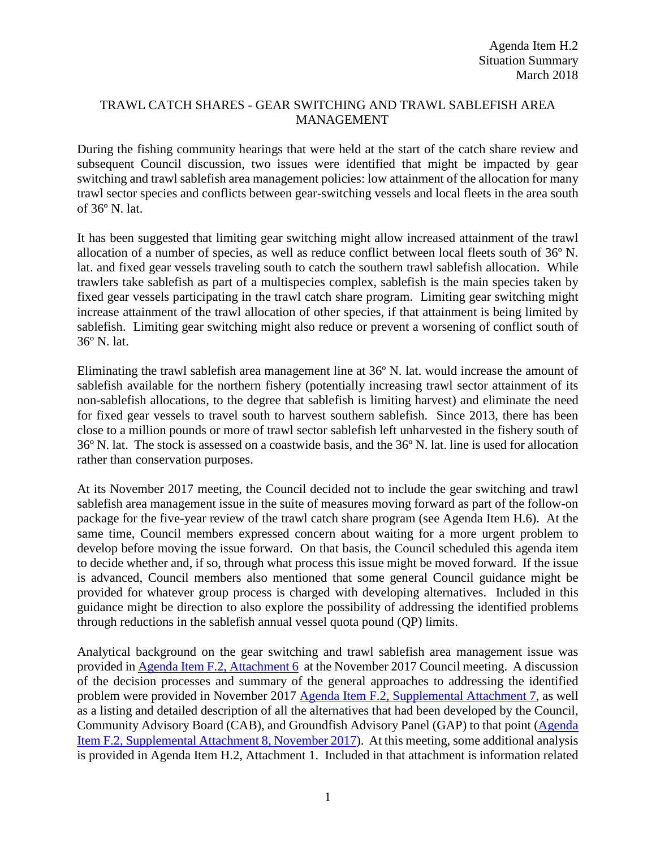### TRAWL CATCH SHARES - GEAR SWITCHING AND TRAWL SABLEFISH AREA MANAGEMENT

During the fishing community hearings that were held at the start of the catch share review and subsequent Council discussion, two issues were identified that might be impacted by gear switching and trawl sablefish area management policies: low attainment of the allocation for many trawl sector species and conflicts between gear-switching vessels and local fleets in the area south of 36º N. lat.

It has been suggested that limiting gear switching might allow increased attainment of the trawl allocation of a number of species, as well as reduce conflict between local fleets south of 36º N. lat. and fixed gear vessels traveling south to catch the southern trawl sablefish allocation. While trawlers take sablefish as part of a multispecies complex, sablefish is the main species taken by fixed gear vessels participating in the trawl catch share program. Limiting gear switching might increase attainment of the trawl allocation of other species, if that attainment is being limited by sablefish. Limiting gear switching might also reduce or prevent a worsening of conflict south of 36º N. lat.

Eliminating the trawl sablefish area management line at 36º N. lat. would increase the amount of sablefish available for the northern fishery (potentially increasing trawl sector attainment of its non-sablefish allocations, to the degree that sablefish is limiting harvest) and eliminate the need for fixed gear vessels to travel south to harvest southern sablefish. Since 2013, there has been close to a million pounds or more of trawl sector sablefish left unharvested in the fishery south of 36º N. lat. The stock is assessed on a coastwide basis, and the 36º N. lat. line is used for allocation rather than conservation purposes.

At its November 2017 meeting, the Council decided not to include the gear switching and trawl sablefish area management issue in the suite of measures moving forward as part of the follow-on package for the five-year review of the trawl catch share program (see Agenda Item H.6). At the same time, Council members expressed concern about waiting for a more urgent problem to develop before moving the issue forward. On that basis, the Council scheduled this agenda item to decide whether and, if so, through what process this issue might be moved forward. If the issue is advanced, Council members also mentioned that some general Council guidance might be provided for whatever group process is charged with developing alternatives. Included in this guidance might be direction to also explore the possibility of addressing the identified problems through reductions in the sablefish annual vessel quota pound (QP) limits.

Analytical background on the gear switching and trawl sablefish area management issue was provided in [Agenda Item F.2, Attachment 6](http://www.pcouncil.org/wp-content/uploads/2017/10/F2_Att6_FollowOnActions_NOV2017BB.pdf) at the November 2017 Council meeting. A discussion of the decision processes and summary of the general approaches to addressing the identified problem were provided in November 2017 [Agenda Item F.2, Supplemental Attachment 7,](https://www.pcouncil.org/wp-content/uploads/2017/11/F2_Sup_Att7_SAMGS_Process_NOV2017BB.pdf) as well as a listing and detailed description of all the alternatives that had been developed by the Council, Community Advisory Board (CAB), and Groundfish Advisory Panel (GAP) to that point [\(Agenda](https://www.pcouncil.org/wp-content/uploads/2017/11/F2_Sup_Att8_GearSwitching_Options_NOV2017BB.pdf)  [Item F.2, Supplemental Attachment 8, November](https://www.pcouncil.org/wp-content/uploads/2017/11/F2_Sup_Att8_GearSwitching_Options_NOV2017BB.pdf) 2017). At this meeting, some additional analysis is provided in Agenda Item H.2, Attachment 1. Included in that attachment is information related